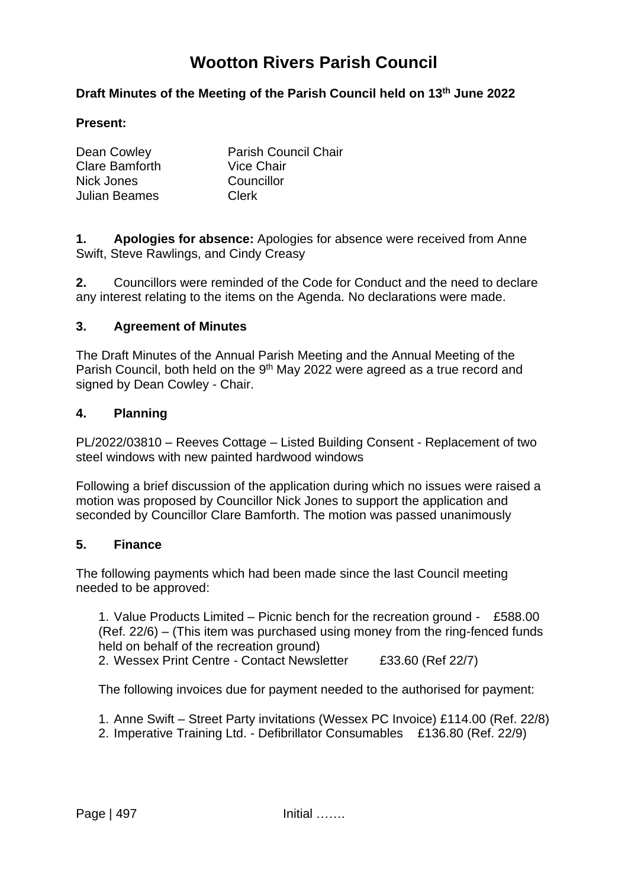# **Wootton Rivers Parish Council**

## **Draft Minutes of the Meeting of the Parish Council held on 13th June 2022**

#### **Present:**

| Dean Cowley    | <b>Parish Council Chair</b> |
|----------------|-----------------------------|
| Clare Bamforth | <b>Vice Chair</b>           |
| Nick Jones     | Councillor                  |
| Julian Beames  | Clerk                       |
|                |                             |

**1. Apologies for absence:** Apologies for absence were received from Anne Swift, Steve Rawlings, and Cindy Creasy

**2.** Councillors were reminded of the Code for Conduct and the need to declare any interest relating to the items on the Agenda. No declarations were made.

#### **3. Agreement of Minutes**

The Draft Minutes of the Annual Parish Meeting and the Annual Meeting of the Parish Council, both held on the 9<sup>th</sup> May 2022 were agreed as a true record and signed by Dean Cowley - Chair.

#### **4. Planning**

PL/2022/03810 – Reeves Cottage – Listed Building Consent - Replacement of two steel windows with new painted hardwood windows

Following a brief discussion of the application during which no issues were raised a motion was proposed by Councillor Nick Jones to support the application and seconded by Councillor Clare Bamforth. The motion was passed unanimously

#### **5. Finance**

The following payments which had been made since the last Council meeting needed to be approved:

1. Value Products Limited – Picnic bench for the recreation ground - £588.00 (Ref. 22/6) – (This item was purchased using money from the ring-fenced funds held on behalf of the recreation ground)

2. Wessex Print Centre - Contact Newsletter £33.60 (Ref 22/7)

The following invoices due for payment needed to the authorised for payment:

1. Anne Swift – Street Party invitations (Wessex PC Invoice) £114.00 (Ref. 22/8)

2. Imperative Training Ltd. - Defibrillator Consumables £136.80 (Ref. 22/9)